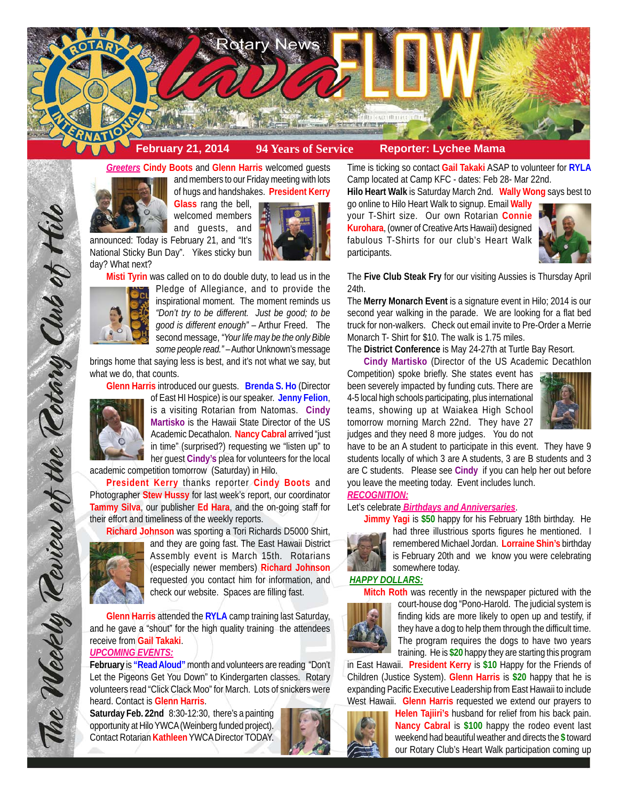



and members to our Friday meeting with lots of hugs and handshakes. **President Kerry**

> **Glass** rang the bell, welcomed members

and guests, and announced: Today is February 21, and "It's

National Sticky Bun Day". Yikes sticky bun day? What next?

**Misti Tyrin** was called on to do double duty, to lead us in the



Pledge of Allegiance, and to provide the inspirational moment. The moment reminds us *"Don't try to be different. Just be good; to be good is different enough"* – Arthur Freed. The second message, *"Your life may be the only Bible some people read."* – Author Unknown's message

brings home that saying less is best, and it's not what we say, but what we do, that counts.

**Glenn Harris** introduced our guests. **Brenda S. Ho** (Director



of East HI Hospice) is our speaker. **Jenny Felion**, is a visiting Rotarian from Natomas. **Cindy Martisko** is the Hawaii State Director of the US Academic Decathalon. **Nancy Cabral** arrived "just in time" (surprised?) requesting we "listen up" to her guest **Cindy's** plea for volunteers for the local

academic competition tomorrow (Saturday) in Hilo.

**President Kerry** thanks reporter **Cindy Boots** and Photographer **Stew Hussy** for last week's report, our coordinator **Tammy Silva**, our publisher **Ed Hara**, and the on-going staff for their effort and timeliness of the weekly reports.

**Richard Johnson** was sporting a Tori Richards D5000 Shirt,



and they are going fast. The East Hawaii District Assembly event is March 15th. Rotarians (especially newer members) **Richard Johnson** requested you contact him for information, and check our website. Spaces are filling fast.

**Glenn Harris** attended the **RYLA** camp training last Saturday, and he gave a "shout" for the high quality training the attendees receive from **Gail Takaki**.

## *UPCOMING EVENTS:*

**February** is **"Read Aloud"** month and volunteers are reading "Don't Let the Pigeons Get You Down" to Kindergarten classes. Rotary volunteers read "Click Clack Moo" for March. Lots of snickers were heard. Contact is **Glenn Harris**.

**Saturday Feb. 22nd** 8:30-12:30, there's a painting opportunity at Hilo YWCA (Weinberg funded project). Contact Rotarian **Kathleen** YWCA Director TODAY.



Time is ticking so contact **Gail Takaki** ASAP to volunteer for **RYLA** Camp located at Camp KFC - dates: Feb 28- Mar 22nd. **Hilo Heart Walk** is Saturday March 2nd. **Wally Wong** says best to

go online to Hilo Heart Walk to signup. Email **Wally** your T-Shirt size. Our own Rotarian **Connie Kurohara**, (owner of Creative Arts Hawaii) designed fabulous T-Shirts for our club's Heart Walk participants.



The **Five Club Steak Fry** for our visiting Aussies is Thursday April 24th.

The **Merry Monarch Event** is a signature event in Hilo; 2014 is our second year walking in the parade. We are looking for a flat bed truck for non-walkers. Check out email invite to Pre-Order a Merrie Monarch T- Shirt for \$10. The walk is 1.75 miles.

The **District Conference** is May 24-27th at Turtle Bay Resort.

**Cindy Martisko** (Director of the US Academic Decathlon

Competition) spoke briefly. She states event has been severely impacted by funding cuts. There are 4-5 local high schools participating, plus international teams, showing up at Waiakea High School tomorrow morning March 22nd. They have 27 judges and they need 8 more judges. You do not



have to be an A student to participate in this event. They have 9 students locally of which 3 are A students, 3 are B students and 3 are C students. Please see **Cindy** if you can help her out before you leave the meeting today. Event includes lunch.

# *RECOGNITION:*

## Let's celebrate *Birthdays and Anniversaries*.

**Jimmy Yagi** is **\$50** happy for his February 18th birthday. He



had three illustrious sports figures he mentioned. I remembered Michael Jordan. **Lorraine Shin's** birthday is February 20th and we know you were celebrating somewhere today.

#### *HAPPY DOLLARS:*



**Mitch Roth** was recently in the newspaper pictured with the court-house dog "Pono-Harold. The judicial system is finding kids are more likely to open up and testify, if they have a dog to help them through the difficult time. The program requires the dogs to have two years training. He is **\$20** happy they are starting this program

in East Hawaii. **President Kerry** is **\$10** Happy for the Friends of Children (Justice System). **Glenn Harris** is **\$20** happy that he is expanding Pacific Executive Leadership from East Hawaii to include West Hawaii. **Glenn Harris** requested we extend our prayers to

> **Helen Tajiiri's** husband for relief from his back pain. **Nancy Cabral** is **\$100** happy the rodeo event last weekend had beautiful weather and directs the **\$** toward our Rotary Club's Heart Walk participation coming up

The Weekly Review of the Rotary Club of Hill